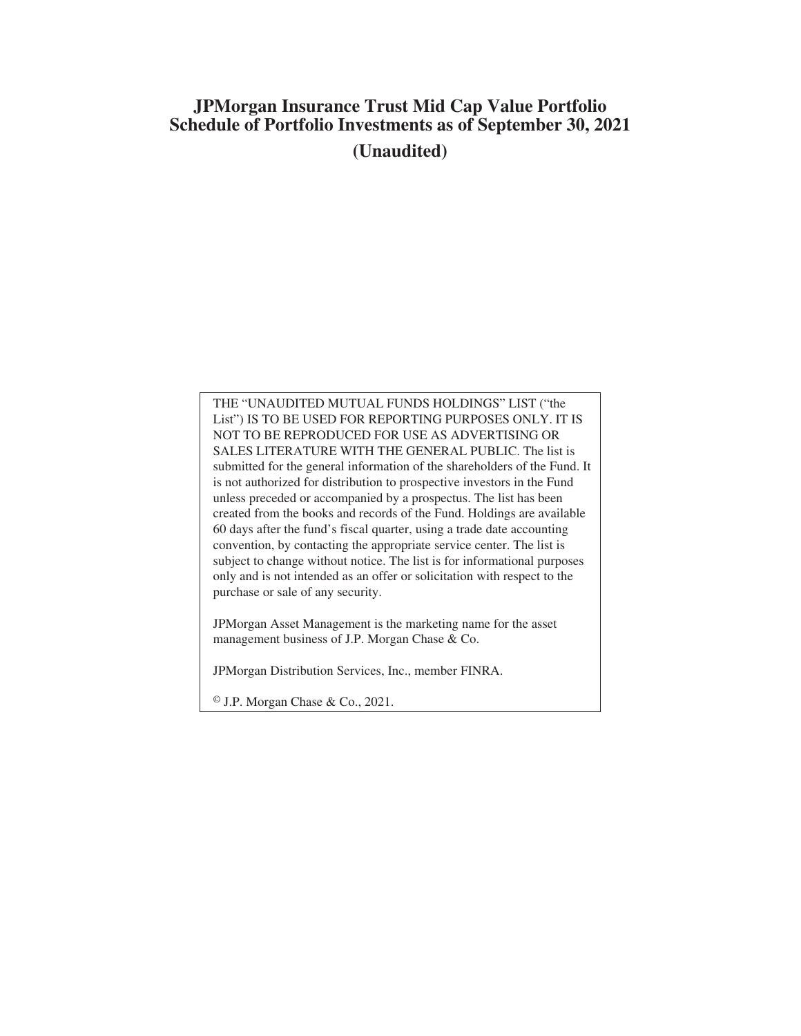# **JPMorgan Insurance Trust Mid Cap Value Portfolio Schedule of Portfolio Investments as of September 30, 2021 (Unaudited)**

THE "UNAUDITED MUTUAL FUNDS HOLDINGS" LIST ("the List") IS TO BE USED FOR REPORTING PURPOSES ONLY. IT IS NOT TO BE REPRODUCED FOR USE AS ADVERTISING OR SALES LITERATURE WITH THE GENERAL PUBLIC. The list is submitted for the general information of the shareholders of the Fund. It is not authorized for distribution to prospective investors in the Fund unless preceded or accompanied by a prospectus. The list has been created from the books and records of the Fund. Holdings are available 60 days after the fund's fiscal quarter, using a trade date accounting convention, by contacting the appropriate service center. The list is subject to change without notice. The list is for informational purposes only and is not intended as an offer or solicitation with respect to the purchase or sale of any security.

JPMorgan Asset Management is the marketing name for the asset management business of J.P. Morgan Chase & Co.

JPMorgan Distribution Services, Inc., member FINRA.

© J.P. Morgan Chase & Co., 2021.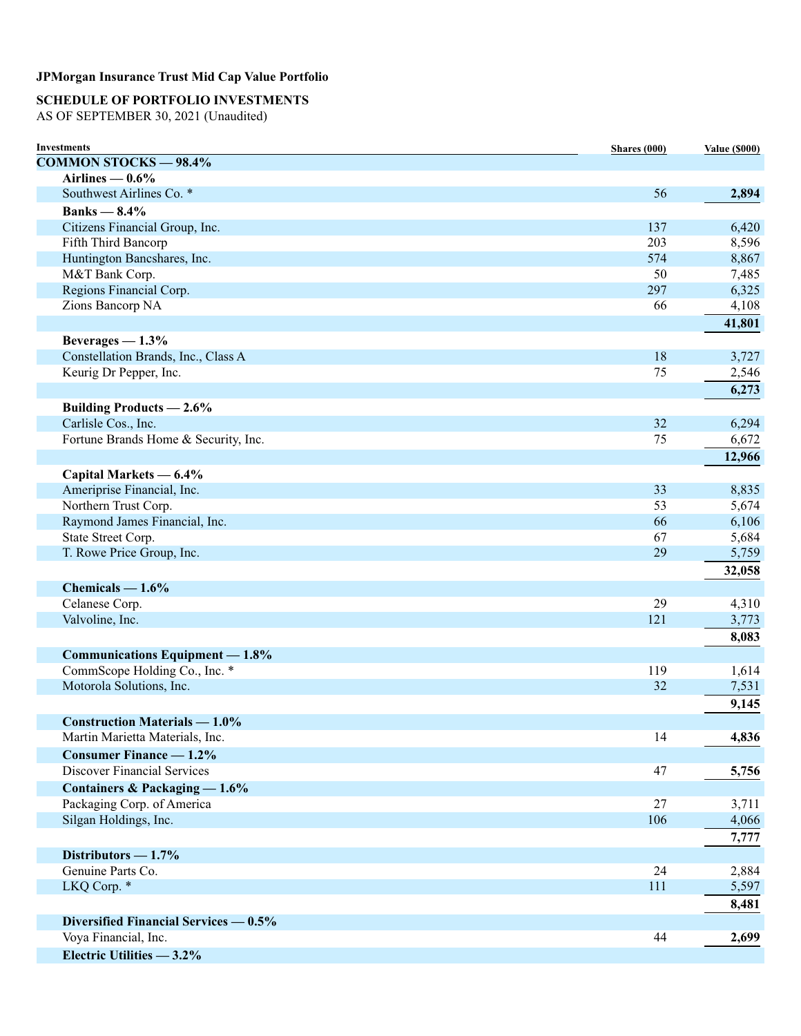# **SCHEDULE OF PORTFOLIO INVESTMENTS**

AS OF SEPTEMBER 30, 2021 (Unaudited)

| Investments                             | Shares (000) | <b>Value (\$000)</b> |
|-----------------------------------------|--------------|----------------------|
| <b>COMMON STOCKS - 98.4%</b>            |              |                      |
| Airlines $-0.6%$                        |              |                      |
| Southwest Airlines Co. *                | 56           | 2,894                |
| Banks $-8.4\%$                          |              |                      |
| Citizens Financial Group, Inc.          | 137          | 6,420                |
| Fifth Third Bancorp                     | 203          | 8,596                |
| Huntington Bancshares, Inc.             | 574          | 8,867                |
| M&T Bank Corp.                          | 50           | 7,485                |
| Regions Financial Corp.                 | 297          | 6,325                |
| Zions Bancorp NA                        | 66           | 4,108                |
|                                         |              | 41,801               |
| Beverages $-1.3%$                       |              |                      |
| Constellation Brands, Inc., Class A     | 18           | 3,727                |
| Keurig Dr Pepper, Inc.                  | 75           |                      |
|                                         |              | 2,546                |
|                                         |              | 6,273                |
| <b>Building Products - 2.6%</b>         |              |                      |
| Carlisle Cos., Inc.                     | 32           | 6,294                |
| Fortune Brands Home & Security, Inc.    | 75           | 6,672                |
|                                         |              | 12,966               |
| Capital Markets — 6.4%                  |              |                      |
| Ameriprise Financial, Inc.              | 33           | 8,835                |
| Northern Trust Corp.                    | 53           | 5,674                |
| Raymond James Financial, Inc.           | 66           | 6,106                |
| State Street Corp.                      | 67           | 5,684                |
| T. Rowe Price Group, Inc.               | 29           | 5,759                |
|                                         |              | 32,058               |
| Chemicals $-1.6%$                       |              |                      |
| Celanese Corp.                          | 29           | 4,310                |
| Valvoline, Inc.                         | 121          | 3,773                |
|                                         |              |                      |
|                                         |              | 8,083                |
| Communications Equipment - 1.8%         |              |                      |
| CommScope Holding Co., Inc. *           | 119          | 1,614                |
| Motorola Solutions, Inc.                | 32           | 7,531                |
|                                         |              | 9,145                |
| <b>Construction Materials — 1.0%</b>    |              |                      |
| Martin Marietta Materials, Inc.         | 14           | 4,836                |
| <b>Consumer Finance — 1.2%</b>          |              |                      |
| <b>Discover Financial Services</b>      | 47           | 5,756                |
| Containers & Packaging - 1.6%           |              |                      |
| Packaging Corp. of America              | 27           | 3,711                |
| Silgan Holdings, Inc.                   | 106          | 4,066                |
|                                         |              | 7,777                |
|                                         |              |                      |
| Distributors $-1.7\%$                   |              |                      |
| Genuine Parts Co.                       | 24           | 2,884                |
| LKQ Corp. *                             | 111          | 5,597                |
|                                         |              | 8,481                |
| Diversified Financial Services $-0.5\%$ |              |                      |
| Voya Financial, Inc.                    | 44           | 2,699                |
| Electric Utilities - 3.2%               |              |                      |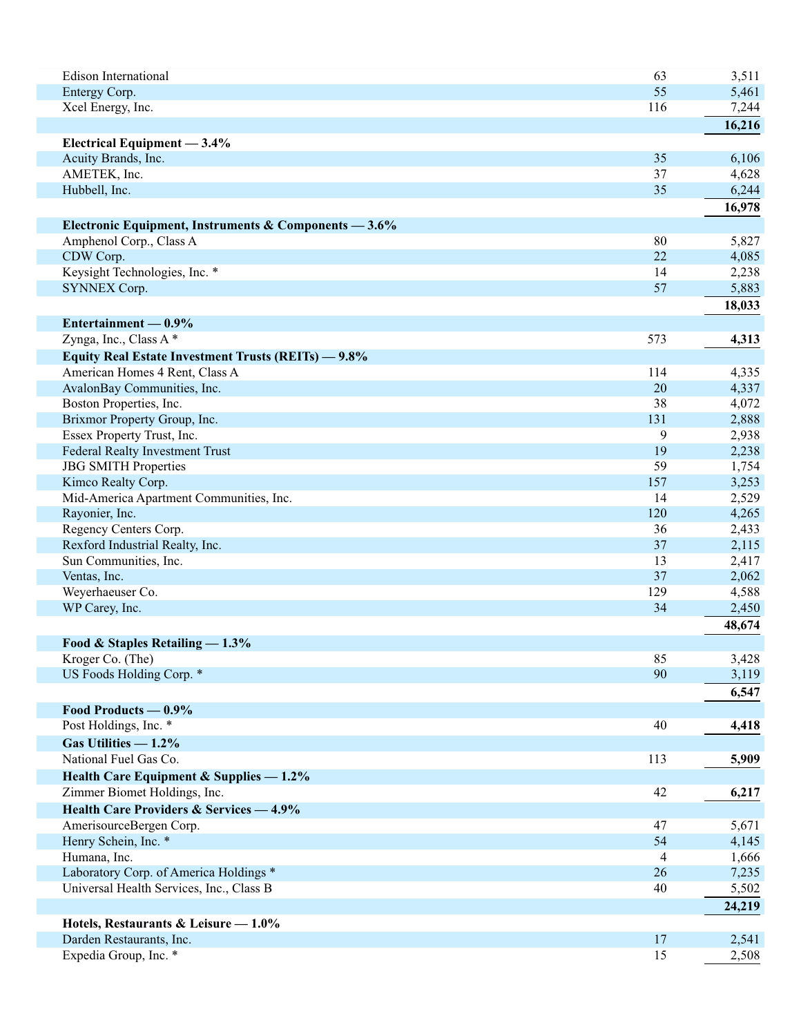| <b>Edison International</b>                           | 63  | 3,511  |
|-------------------------------------------------------|-----|--------|
| Entergy Corp.                                         | 55  | 5,461  |
| Xcel Energy, Inc.                                     | 116 | 7,244  |
|                                                       |     | 16,216 |
| Electrical Equipment - 3.4%                           |     |        |
| Acuity Brands, Inc.                                   | 35  | 6,106  |
| AMETEK, Inc.                                          | 37  | 4,628  |
| Hubbell, Inc.                                         | 35  | 6,244  |
|                                                       |     | 16,978 |
| Electronic Equipment, Instruments & Components - 3.6% |     |        |
| Amphenol Corp., Class A                               | 80  | 5,827  |
| CDW Corp.                                             | 22  | 4,085  |
| Keysight Technologies, Inc. *                         | 14  | 2,238  |
| <b>SYNNEX Corp.</b>                                   | 57  | 5,883  |
|                                                       |     | 18,033 |
|                                                       |     |        |
| Entertainment $-0.9\%$                                |     |        |
| Zynga, Inc., Class A*                                 | 573 | 4,313  |
| Equity Real Estate Investment Trusts (REITs) - 9.8%   |     |        |
| American Homes 4 Rent, Class A                        | 114 | 4,335  |
| AvalonBay Communities, Inc.                           | 20  | 4,337  |
| Boston Properties, Inc.                               | 38  | 4,072  |
| Brixmor Property Group, Inc.                          | 131 | 2,888  |
| Essex Property Trust, Inc.                            | 9   | 2,938  |
| <b>Federal Realty Investment Trust</b>                | 19  | 2,238  |
| <b>JBG SMITH Properties</b>                           | 59  | 1,754  |
| Kimco Realty Corp.                                    | 157 | 3,253  |
| Mid-America Apartment Communities, Inc.               | 14  | 2,529  |
| Rayonier, Inc.                                        | 120 | 4,265  |
| Regency Centers Corp.                                 | 36  | 2,433  |
| Rexford Industrial Realty, Inc.                       | 37  | 2,115  |
| Sun Communities, Inc.                                 | 13  | 2,417  |
| Ventas, Inc.                                          | 37  | 2,062  |
| Weyerhaeuser Co.                                      | 129 | 4,588  |
| WP Carey, Inc.                                        | 34  | 2,450  |
|                                                       |     | 48,674 |
| Food & Staples Retailing $-1.3\%$                     |     |        |
| Kroger Co. (The)                                      | 85  | 3,428  |
| US Foods Holding Corp. *                              | 90  | 3,119  |
|                                                       |     | 6,547  |
|                                                       |     |        |
| Food Products — 0.9%<br>Post Holdings, Inc. *         | 40  |        |
|                                                       |     | 4,418  |
| Gas Utilities $-1.2\%$                                |     |        |
| National Fuel Gas Co.                                 | 113 | 5,909  |
| Health Care Equipment & Supplies $-1.2\%$             |     |        |
| Zimmer Biomet Holdings, Inc.                          | 42  | 6,217  |
| <b>Health Care Providers &amp; Services - 4.9%</b>    |     |        |
| AmerisourceBergen Corp.                               | 47  | 5,671  |
| Henry Schein, Inc. *                                  | 54  | 4,145  |
| Humana, Inc.                                          | 4   | 1,666  |
| Laboratory Corp. of America Holdings *                | 26  | 7,235  |
| Universal Health Services, Inc., Class B              | 40  | 5,502  |
|                                                       |     | 24,219 |
| Hotels, Restaurants & Leisure - 1.0%                  |     |        |
| Darden Restaurants, Inc.                              | 17  | 2,541  |
| Expedia Group, Inc. *                                 | 15  | 2,508  |
|                                                       |     |        |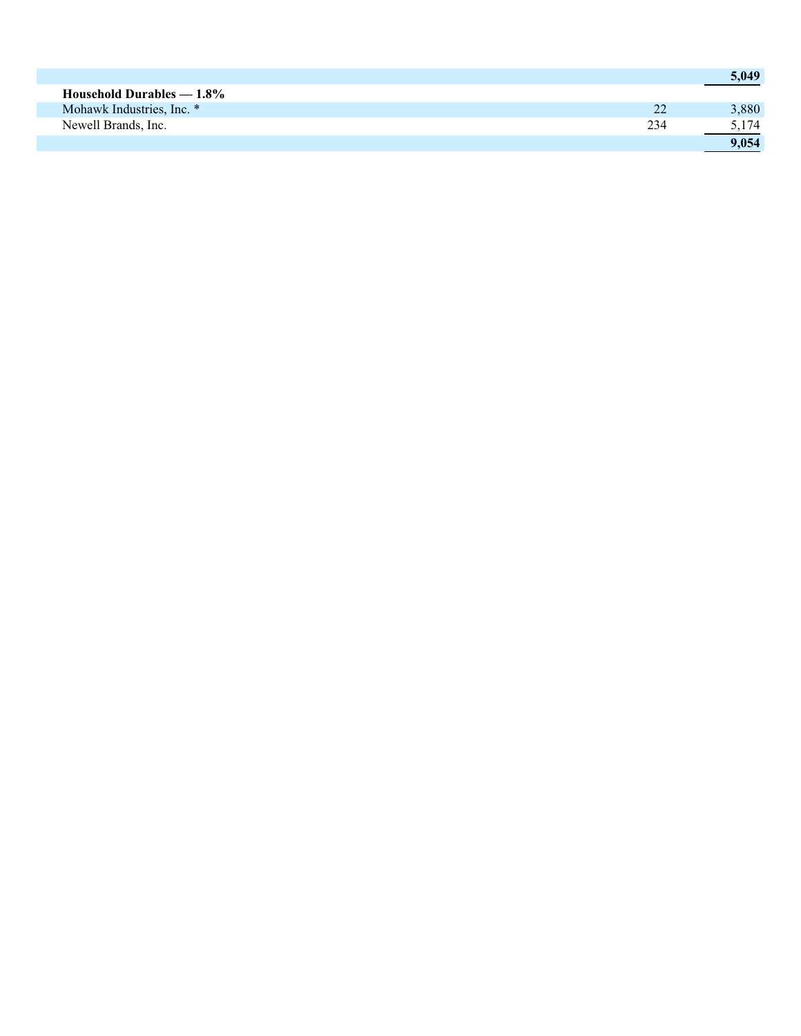|                             |     | 5,049 |
|-----------------------------|-----|-------|
| Household Durables $-1.8\%$ |     |       |
| Mohawk Industries, Inc. *   | 22  | 3,880 |
| Newell Brands, Inc.         | 234 | 5,174 |
|                             |     | 9.054 |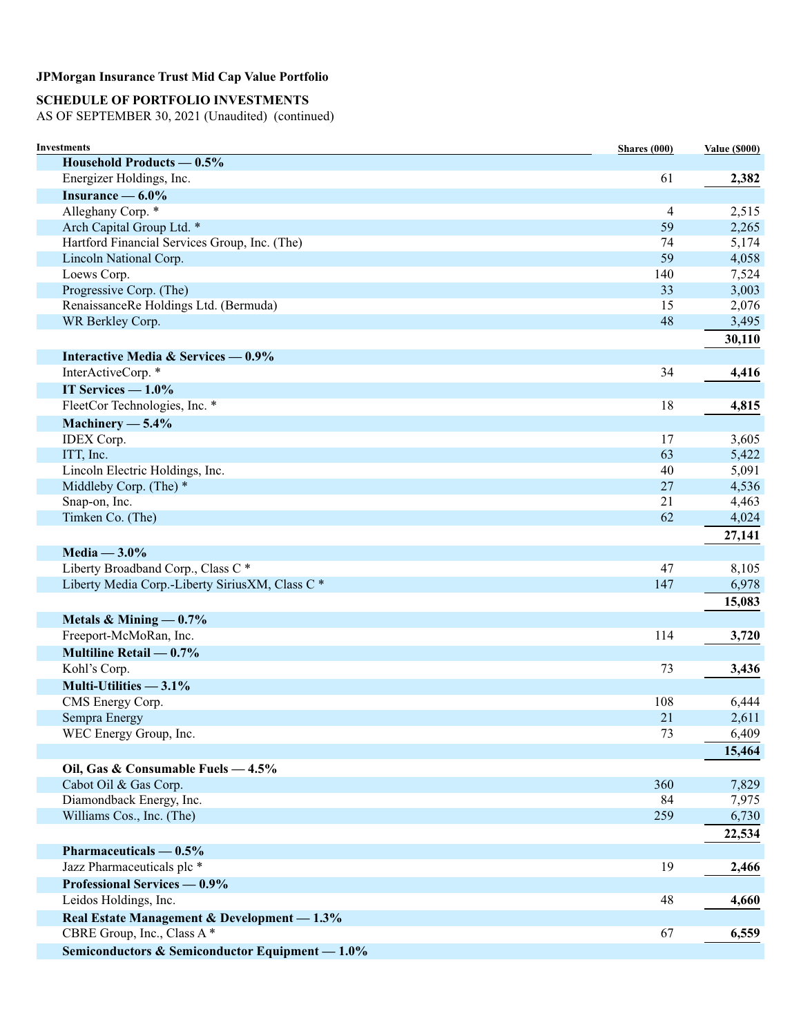# **SCHEDULE OF PORTFOLIO INVESTMENTS**

AS OF SEPTEMBER 30, 2021 (Unaudited) (continued)

| Investments                                     | Shares (000) | <b>Value (\$000)</b> |
|-------------------------------------------------|--------------|----------------------|
| Household Products — 0.5%                       |              |                      |
| Energizer Holdings, Inc.                        | 61           | 2,382                |
| Insurance $-6.0\%$                              |              |                      |
| Alleghany Corp. *                               | 4            | 2,515                |
| Arch Capital Group Ltd. *                       | 59           | 2,265                |
| Hartford Financial Services Group, Inc. (The)   | 74           | 5,174                |
| Lincoln National Corp.                          | 59           | 4,058                |
| Loews Corp.                                     | 140          | 7,524                |
| Progressive Corp. (The)                         | 33           | 3,003                |
| RenaissanceRe Holdings Ltd. (Bermuda)           | 15           | 2,076                |
| WR Berkley Corp.                                | 48           | 3,495                |
|                                                 |              | 30,110               |
| Interactive Media & Services — 0.9%             |              |                      |
| InterActiveCorp.*                               | 34           | 4,416                |
| IT Services $-1.0\%$                            |              |                      |
| FleetCor Technologies, Inc. *                   | 18           | 4,815                |
| Machinery $-5.4\%$                              |              |                      |
| <b>IDEX</b> Corp.                               | 17           | 3,605                |
| ITT, Inc.                                       | 63           | 5,422                |
| Lincoln Electric Holdings, Inc.                 | 40           | 5,091                |
| Middleby Corp. (The) *                          | 27           | 4,536                |
| Snap-on, Inc.                                   | 21           | 4,463                |
| Timken Co. (The)                                | 62           | 4,024                |
|                                                 |              | 27,141               |
| Media $-3.0\%$                                  |              |                      |
| Liberty Broadband Corp., Class C*               | 47           | 8,105                |
| Liberty Media Corp.-Liberty SiriusXM, Class C * | 147          | 6,978                |
|                                                 |              | 15,083               |
|                                                 |              |                      |
| Metals & Mining $-0.7%$                         |              |                      |
| Freeport-McMoRan, Inc.                          | 114          | 3,720                |
| Multiline Retail $-0.7%$                        |              |                      |
| Kohl's Corp.                                    | 73           | 3,436                |
| Multi-Utilities $-3.1\%$                        |              |                      |
| CMS Energy Corp.                                | 108          | 6,444                |
| Sempra Energy                                   | 21           | 2,611                |
| WEC Energy Group, Inc.                          | 73           | 6,409                |
|                                                 |              | 15,464               |
| Oil, Gas & Consumable Fuels - 4.5%              |              |                      |
| Cabot Oil & Gas Corp.                           | 360          | 7,829                |
| Diamondback Energy, Inc.                        | 84           | 7,975                |
| Williams Cos., Inc. (The)                       | 259          | 6,730                |
|                                                 |              | 22,534               |
| Pharmaceuticals $-0.5%$                         |              |                      |
| Jazz Pharmaceuticals plc *                      | 19           | 2,466                |
| Professional Services — 0.9%                    |              |                      |
| Leidos Holdings, Inc.                           | 48           | 4,660                |
| Real Estate Management & Development - 1.3%     |              |                      |
| CBRE Group, Inc., Class A*                      | 67           | 6,559                |
| Semiconductors & Semiconductor Equipment - 1.0% |              |                      |
|                                                 |              |                      |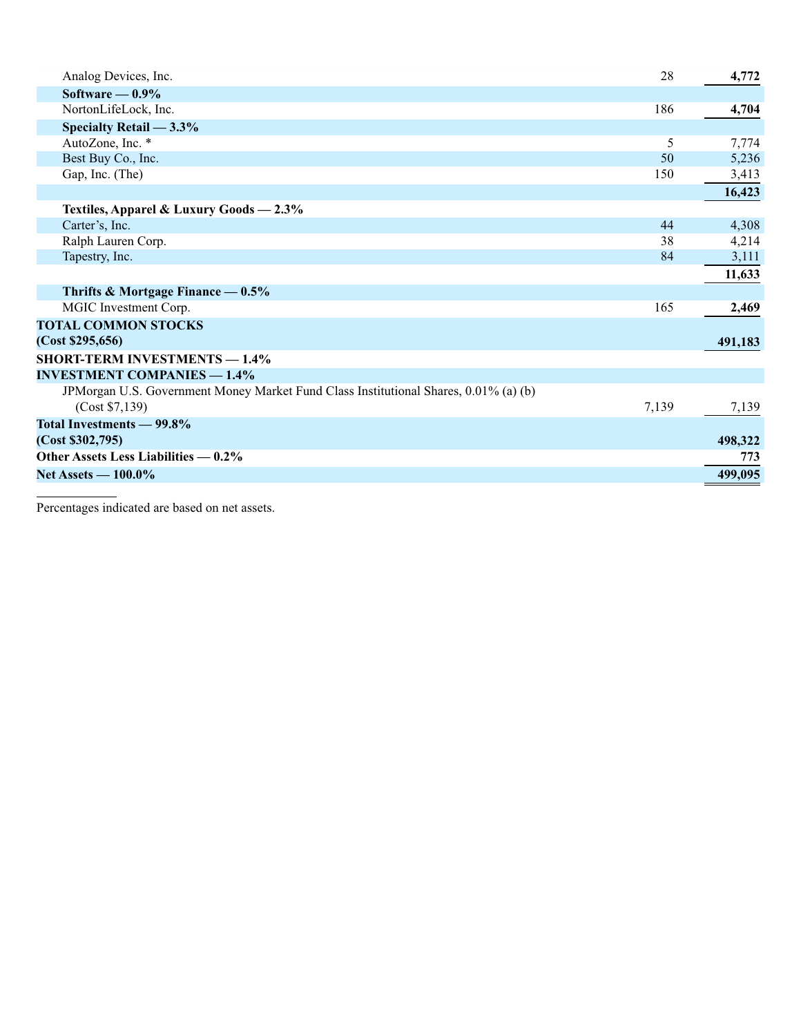| Analog Devices, Inc.                                                                 | 28    | 4,772   |
|--------------------------------------------------------------------------------------|-------|---------|
| Software $-0.9\%$                                                                    |       |         |
| NortonLifeLock, Inc.                                                                 | 186   | 4,704   |
| Specialty Retail $-3.3\%$                                                            |       |         |
| AutoZone, Inc. *                                                                     | 5     | 7,774   |
| Best Buy Co., Inc.                                                                   | 50    | 5,236   |
| Gap, Inc. (The)                                                                      | 150   | 3,413   |
|                                                                                      |       | 16,423  |
| Textiles, Apparel & Luxury Goods - 2.3%                                              |       |         |
| Carter's, Inc.                                                                       | 44    | 4,308   |
| Ralph Lauren Corp.                                                                   | 38    | 4,214   |
| Tapestry, Inc.                                                                       | 84    | 3,111   |
|                                                                                      |       | 11,633  |
| Thrifts & Mortgage Finance $-0.5\%$                                                  |       |         |
| MGIC Investment Corp.                                                                | 165   | 2,469   |
| <b>TOTAL COMMON STOCKS</b>                                                           |       |         |
| (Cost \$295,656)                                                                     |       | 491,183 |
| <b>SHORT-TERM INVESTMENTS — 1.4%</b>                                                 |       |         |
| <b>INVESTMENT COMPANIES - 1.4%</b>                                                   |       |         |
| JPMorgan U.S. Government Money Market Fund Class Institutional Shares, 0.01% (a) (b) |       |         |
| (Cost \$7,139)                                                                       | 7,139 | 7,139   |
| Total Investments - 99.8%                                                            |       |         |
| (Cost \$302,795)                                                                     |       | 498,322 |
| Other Assets Less Liabilities — 0.2%                                                 |       | 773     |
| <b>Net Assets — 100.0%</b>                                                           |       | 499,095 |
|                                                                                      |       |         |

Percentages indicated are based on net assets.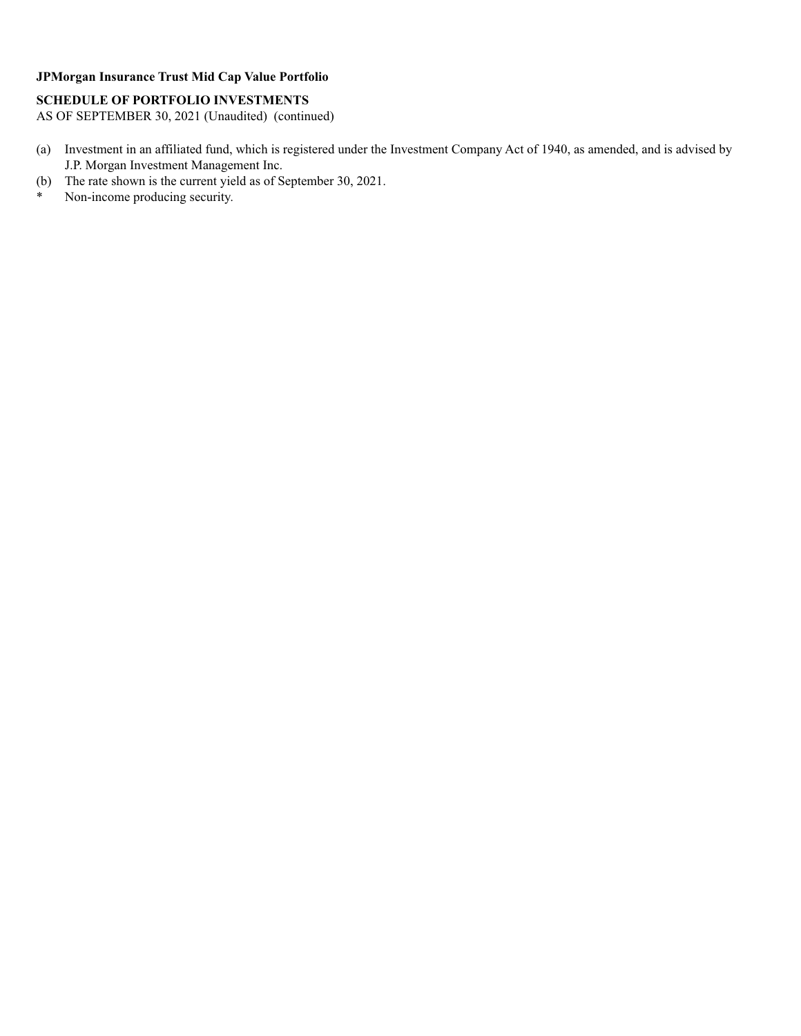### **SCHEDULE OF PORTFOLIO INVESTMENTS**

AS OF SEPTEMBER 30, 2021 (Unaudited) (continued)

- (a) Investment in an affiliated fund, which is registered under the Investment Company Act of 1940, as amended, and is advised by J.P. Morgan Investment Management Inc.
- (b) The rate shown is the current yield as of September 30, 2021.<br>Non-income producing security.
- Non-income producing security.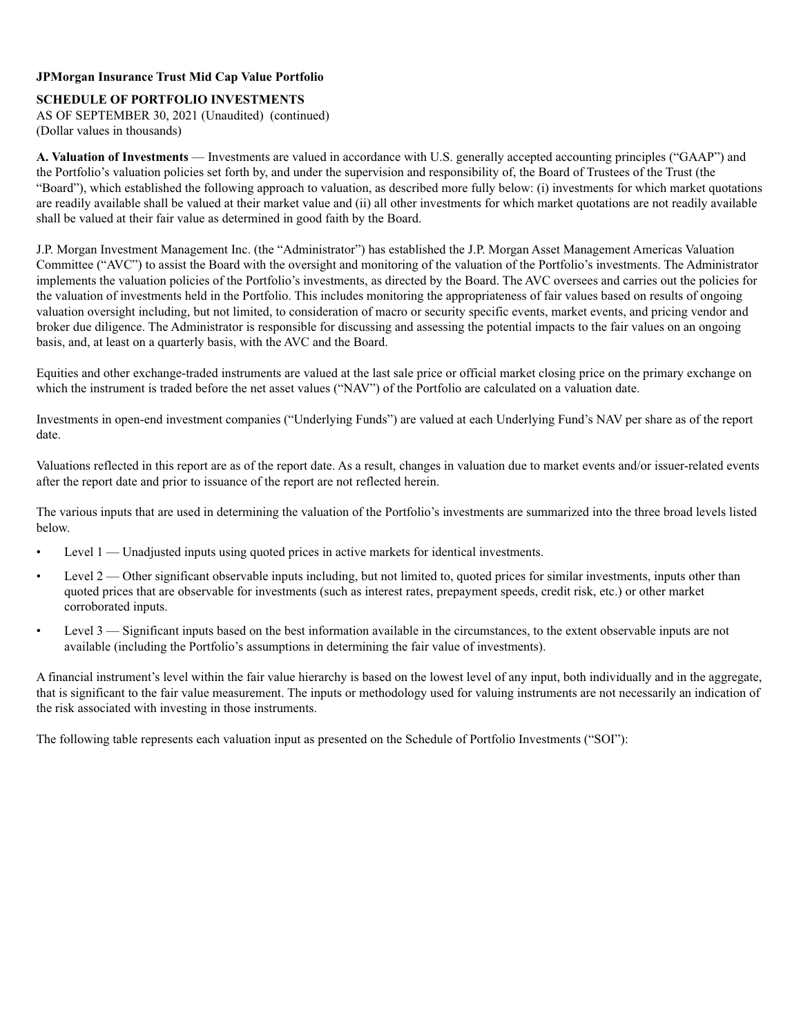### **SCHEDULE OF PORTFOLIO INVESTMENTS**

AS OF SEPTEMBER 30, 2021 (Unaudited) (continued) (Dollar values in thousands)

**A. Valuation of Investments** — Investments are valued in accordance with U.S. generally accepted accounting principles ("GAAP") and the Portfolio's valuation policies set forth by, and under the supervision and responsibility of, the Board of Trustees of the Trust (the "Board"), which established the following approach to valuation, as described more fully below: (i) investments for which market quotations are readily available shall be valued at their market value and (ii) all other investments for which market quotations are not readily available shall be valued at their fair value as determined in good faith by the Board.

J.P. Morgan Investment Management Inc. (the "Administrator") has established the J.P. Morgan Asset Management Americas Valuation Committee ("AVC") to assist the Board with the oversight and monitoring of the valuation of the Portfolio's investments. The Administrator implements the valuation policies of the Portfolio's investments, as directed by the Board. The AVC oversees and carries out the policies for the valuation of investments held in the Portfolio. This includes monitoring the appropriateness of fair values based on results of ongoing valuation oversight including, but not limited, to consideration of macro or security specific events, market events, and pricing vendor and broker due diligence. The Administrator is responsible for discussing and assessing the potential impacts to the fair values on an ongoing basis, and, at least on a quarterly basis, with the AVC and the Board.

Equities and other exchange-traded instruments are valued at the last sale price or official market closing price on the primary exchange on which the instrument is traded before the net asset values ("NAV") of the Portfolio are calculated on a valuation date.

Investments in open-end investment companies ("Underlying Funds") are valued at each Underlying Fund's NAV per share as of the report date.

Valuations reflected in this report are as of the report date. As a result, changes in valuation due to market events and/or issuer-related events after the report date and prior to issuance of the report are not reflected herein.

The various inputs that are used in determining the valuation of the Portfolio's investments are summarized into the three broad levels listed below.

- Level 1 Unadjusted inputs using quoted prices in active markets for identical investments.
- Level 2 Other significant observable inputs including, but not limited to, quoted prices for similar investments, inputs other than quoted prices that are observable for investments (such as interest rates, prepayment speeds, credit risk, etc.) or other market corroborated inputs.
- Level 3 Significant inputs based on the best information available in the circumstances, to the extent observable inputs are not available (including the Portfolio's assumptions in determining the fair value of investments).

A financial instrument's level within the fair value hierarchy is based on the lowest level of any input, both individually and in the aggregate, that is significant to the fair value measurement. The inputs or methodology used for valuing instruments are not necessarily an indication of the risk associated with investing in those instruments.

The following table represents each valuation input as presented on the Schedule of Portfolio Investments ("SOI"):